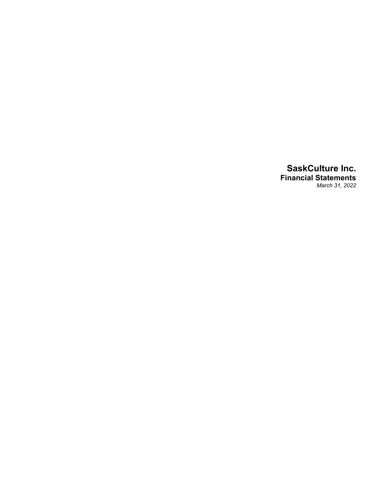# **SaskCulture Inc. Financial Statements** *March 31, 2022*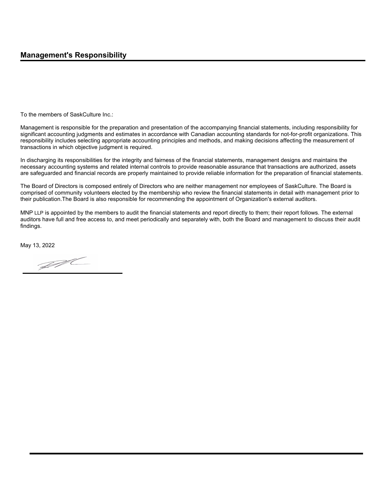To the members of SaskCulture Inc.:

Management is responsible for the preparation and presentation of the accompanying financial statements, including responsibility for significant accounting judgments and estimates in accordance with Canadian accounting standards for not-for-profit organizations. This responsibility includes selecting appropriate accounting principles and methods, and making decisions affecting the measurement of transactions in which objective judgment is required.

In discharging its responsibilities for the integrity and fairness of the financial statements, management designs and maintains the necessary accounting systems and related internal controls to provide reasonable assurance that transactions are authorized, assets are safeguarded and financial records are properly maintained to provide reliable information for the preparation of financial statements.

The Board of Directors is composed entirely of Directors who are neither management nor employees of SaskCulture. The Board is comprised of community volunteers elected by the membership who review the financial statements in detail with management prior to their publication.The Board is also responsible for recommending the appointment of Organization's external auditors.

MNP LLP is appointed by the members to audit the financial statements and report directly to them; their report follows. The external auditors have full and free access to, and meet periodically and separately with, both the Board and management to discuss their audit findings.

May 13, 2022

 $\mathscr{D}$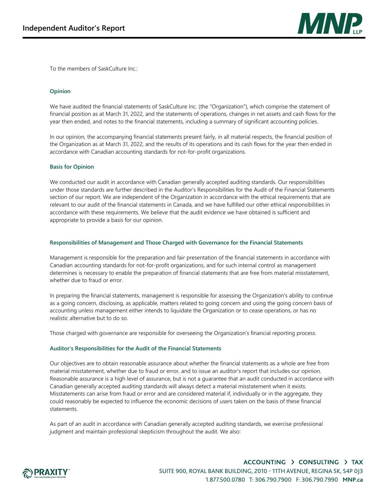

To the members of SaskCulture Inc.:

### **Opinion**

We have audited the financial statements of SaskCulture Inc. (the "Organization"), which comprise the statement of financial position as at March 31, 2022, and the statements of operations, changes in net assets and cash flows for the year then ended, and notes to the financial statements, including a summary of significant accounting policies.

In our opinion, the accompanying financial statements present fairly, in all material respects, the financial position of the Organization as at March 31, 2022, and the results of its operations and its cash flows for the year then ended in accordance with Canadian accounting standards for not-for-profit organizations.

#### **Basis for Opinion**

We conducted our audit in accordance with Canadian generally accepted auditing standards. Our responsibilities under those standards are further described in the Auditor's Responsibilities for the Audit of the Financial Statements section of our report. We are independent of the Organization in accordance with the ethical requirements that are relevant to our audit of the financial statements in Canada, and we have fulfilled our other ethical responsibilities in accordance with these requirements. We believe that the audit evidence we have obtained is sufficient and appropriate to provide a basis for our opinion.

#### **Responsibilities of Management and Those Charged with Governance for the Financial Statements**

Management is responsible for the preparation and fair presentation of the financial statements in accordance with Canadian accounting standards for not-for-profit organizations, and for such internal control as management determines is necessary to enable the preparation of financial statements that are free from material misstatement, whether due to fraud or error.

In preparing the financial statements, management is responsible for assessing the Organization's ability to continue as a going concern, disclosing, as applicable, matters related to going concern and using the going concern basis of accounting unless management either intends to liquidate the Organization or to cease operations, or has no realistic alternative but to do so.

Those charged with governance are responsible for overseeing the Organization's financial reporting process.

## **Auditor's Responsibilities for the Audit of the Financial Statements**

Our objectives are to obtain reasonable assurance about whether the financial statements as a whole are free from material misstatement, whether due to fraud or error, and to issue an auditor's report that includes our opinion. Reasonable assurance is a high level of assurance, but is not a guarantee that an audit conducted in accordance with Canadian generally accepted auditing standards will always detect a material misstatement when it exists. Misstatements can arise from fraud or error and are considered material if, individually or in the aggregate, they could reasonably be expected to influence the economic decisions of users taken on the basis of these financial statements.

As part of an audit in accordance with Canadian generally accepted auditing standards, we exercise professional judgment and maintain professional skepticism throughout the audit. We also: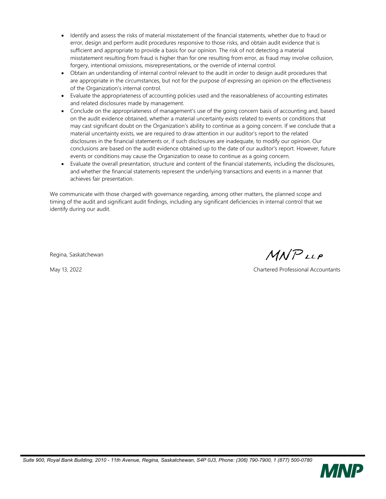- Identify and assess the risks of material misstatement of the financial statements, whether due to fraud or error, design and perform audit procedures responsive to those risks, and obtain audit evidence that is sufficient and appropriate to provide a basis for our opinion. The risk of not detecting a material misstatement resulting from fraud is higher than for one resulting from error, as fraud may involve collusion, forgery, intentional omissions, misrepresentations, or the override of internal control.
- Obtain an understanding of internal control relevant to the audit in order to design audit procedures that are appropriate in the circumstances, but not for the purpose of expressing an opinion on the effectiveness of the Organization's internal control.
- Evaluate the appropriateness of accounting policies used and the reasonableness of accounting estimates and related disclosures made by management.
- Conclude on the appropriateness of management's use of the going concern basis of accounting and, based on the audit evidence obtained, whether a material uncertainty exists related to events or conditions that may cast significant doubt on the Organization's ability to continue as a going concern. If we conclude that a material uncertainty exists, we are required to draw attention in our auditor's report to the related disclosures in the financial statements or, if such disclosures are inadequate, to modify our opinion. Our conclusions are based on the audit evidence obtained up to the date of our auditor's report. However, future events or conditions may cause the Organization to cease to continue as a going concern.
- Evaluate the overall presentation, structure and content of the financial statements, including the disclosures, and whether the financial statements represent the underlying transactions and events in a manner that achieves fair presentation.

We communicate with those charged with governance regarding, among other matters, the planned scope and timing of the audit and significant audit findings, including any significant deficiencies in internal control that we identify during our audit.

Regina, Saskatchewan

 $M N P$ <sub>LLP</sub>

May 13, 2022 Chartered Professional Accountants

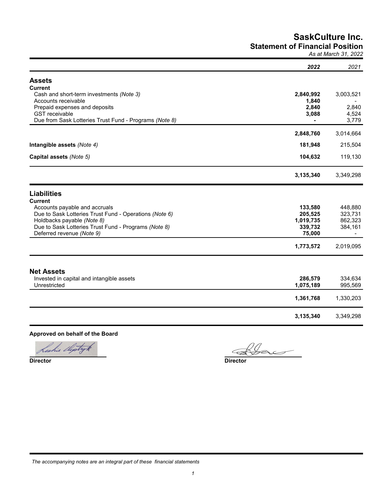# **SaskCulture Inc. Statement of Financial Position**

*As at March 31, 2022*

|                                                                                                                  | 2022                 | 2021                    |
|------------------------------------------------------------------------------------------------------------------|----------------------|-------------------------|
| <b>Assets</b>                                                                                                    |                      |                         |
| <b>Current</b><br>Cash and short-term investments (Note 3)<br>Accounts receivable                                | 2,840,992<br>1,840   | 3,003,521               |
| Prepaid expenses and deposits<br><b>GST</b> receivable<br>Due from Sask Lotteries Trust Fund - Programs (Note 8) | 2,840<br>3,088       | 2,840<br>4,524<br>3,779 |
|                                                                                                                  |                      |                         |
|                                                                                                                  | 2,848,760            | 3,014,664               |
| Intangible assets (Note 4)                                                                                       | 181,948              | 215,504                 |
| Capital assets (Note 5)                                                                                          | 104,632              | 119,130                 |
|                                                                                                                  | 3,135,340            | 3,349,298               |
| <b>Liabilities</b>                                                                                               |                      |                         |
| <b>Current</b><br>Accounts payable and accruals                                                                  | 133,580              | 448,880                 |
| Due to Sask Lotteries Trust Fund - Operations (Note 6)                                                           | 205,525              | 323,731                 |
| Holdbacks payable (Note 8)                                                                                       | 1,019,735            | 862,323                 |
| Due to Sask Lotteries Trust Fund - Programs (Note 8)<br>Deferred revenue (Note 9)                                | 339,732<br>75,000    | 384,161                 |
|                                                                                                                  | 1,773,572            | 2,019,095               |
|                                                                                                                  |                      |                         |
| <b>Net Assets</b>                                                                                                |                      |                         |
| Invested in capital and intangible assets<br>Unrestricted                                                        | 286,579<br>1,075,189 | 334,634<br>995,569      |
|                                                                                                                  | 1,361,768            | 1,330,203               |
|                                                                                                                  | 3,135,340            | 3,349,298               |

# **Approved on behalf of the Board**

Kashie Cleptryk

**Director Director**

Jac  $\bigodot$ 

*The accompanying notes are an integral part of these financial statements*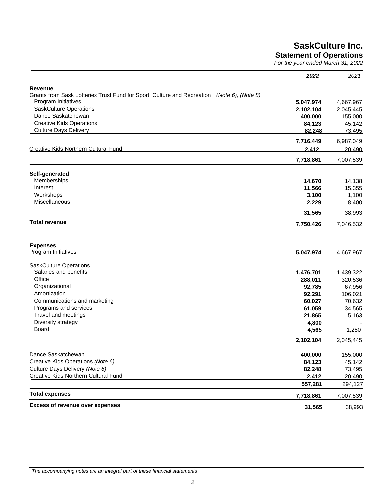**SaskCulture Inc.** 

# **Statement of Operations**

*For the year ended March 31, 2022* 

|                                                                                               | 2022      | 2021      |
|-----------------------------------------------------------------------------------------------|-----------|-----------|
| <b>Revenue</b>                                                                                |           |           |
| Grants from Sask Lotteries Trust Fund for Sport, Culture and Recreation<br>(Note 6), (Note 8) |           |           |
| Program Initiatives                                                                           | 5,047,974 | 4,667,967 |
| <b>SaskCulture Operations</b>                                                                 | 2,102,104 | 2,045,445 |
| Dance Saskatchewan                                                                            | 400,000   | 155,000   |
| <b>Creative Kids Operations</b>                                                               | 84,123    | 45,142    |
| <b>Culture Days Delivery</b>                                                                  | 82,248    | 73,495    |
|                                                                                               | 7,716,449 | 6,987,049 |
| Creative Kids Northern Cultural Fund                                                          | 2.412     | 20,490    |
|                                                                                               | 7,718,861 | 7,007,539 |
| Self-generated                                                                                |           |           |
| Memberships                                                                                   | 14,670    | 14,138    |
| Interest                                                                                      | 11,566    | 15,355    |
| Workshops                                                                                     | 3,100     | 1,100     |
| Miscellaneous                                                                                 | 2,229     | 8,400     |
|                                                                                               | 31,565    | 38,993    |
| <b>Total revenue</b>                                                                          | 7,750,426 | 7,046,532 |
| <b>Expenses</b><br>Program Initiatives                                                        | 5,047,974 | 4,667,967 |
| <b>SaskCulture Operations</b>                                                                 |           |           |
| Salaries and benefits                                                                         | 1,476,701 | 1,439,322 |
| Office                                                                                        | 288,011   | 320,536   |
| Organizational                                                                                | 92,785    | 67,956    |
| Amortization                                                                                  | 92,291    | 106,021   |
| Communications and marketing                                                                  | 60,027    | 70,632    |
| Programs and services                                                                         | 61,059    | 34,565    |
| Travel and meetings                                                                           | 21,865    | 5,163     |
| Diversity strategy                                                                            | 4,800     |           |
| Board                                                                                         | 4,565     | 1,250     |
|                                                                                               | 2,102,104 | 2,045,445 |
| Dance Saskatchewan                                                                            | 400,000   | 155,000   |
| Creative Kids Operations (Note 6)                                                             | 84,123    | 45,142    |
| Culture Days Delivery (Note 6)                                                                | 82,248    | 73,495    |
| Creative Kids Northern Cultural Fund                                                          | 2,412     | 20,490    |
|                                                                                               | 557,281   | 294,127   |
| <b>Total expenses</b>                                                                         | 7,718,861 | 7,007,539 |
| <b>Excess of revenue over expenses</b>                                                        | 31,565    | 38,993    |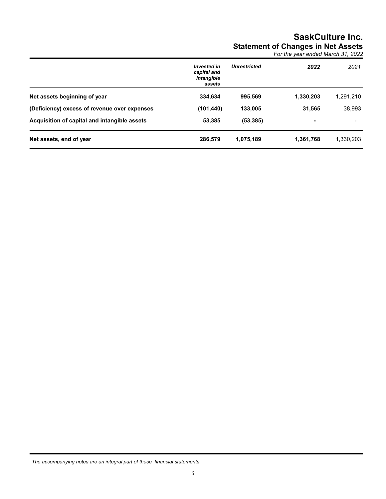# **SaskCulture Inc. Statement of Changes in Net Assets**

*For the year ended March 31, 2022*

|                                              | Invested in<br>capital and<br>intangible<br>assets | <b>Unrestricted</b> | 2022      | 2021      |
|----------------------------------------------|----------------------------------------------------|---------------------|-----------|-----------|
| Net assets beginning of year                 | 334,634                                            | 995,569             | 1,330,203 | 1,291,210 |
| (Deficiency) excess of revenue over expenses | (101, 440)                                         | 133,005             | 31,565    | 38,993    |
| Acquisition of capital and intangible assets | 53,385                                             | (53, 385)           |           |           |
| Net assets, end of year                      | 286,579                                            | 1,075,189           | 1,361,768 | 1,330,203 |

*The accompanying notes are an integral part of these financial statements*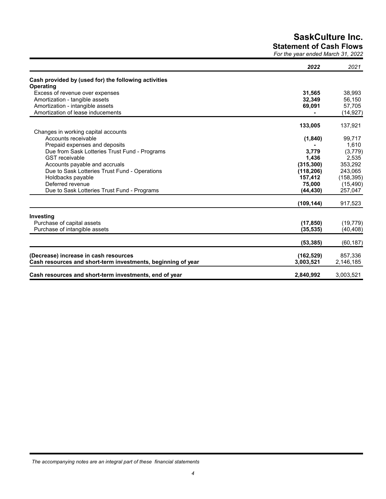**SaskCulture Inc.**

**Statement of Cash Flows**

*For the year ended March 31, 2022*

|                                                                                                       | 2022                    | 2021                 |
|-------------------------------------------------------------------------------------------------------|-------------------------|----------------------|
| Cash provided by (used for) the following activities                                                  |                         |                      |
| Operating                                                                                             |                         |                      |
| Excess of revenue over expenses                                                                       | 31,565                  | 38,993               |
| Amortization - tangible assets                                                                        | 32,349                  | 56,150               |
| Amortization - intangible assets                                                                      | 69,091                  | 57,705               |
| Amortization of lease inducements                                                                     |                         | (14, 927)            |
|                                                                                                       | 133,005                 | 137,921              |
| Changes in working capital accounts                                                                   |                         |                      |
| Accounts receivable                                                                                   | (1, 840)                | 99,717               |
| Prepaid expenses and deposits                                                                         |                         | 1,610                |
| Due from Sask Lotteries Trust Fund - Programs                                                         | 3.779                   | (3,779)              |
| <b>GST</b> receivable                                                                                 | 1,436                   | 2,535                |
| Accounts payable and accruals                                                                         | (315, 300)              | 353,292              |
| Due to Sask Lotteries Trust Fund - Operations                                                         | (118, 206)              | 243,065              |
| Holdbacks payable                                                                                     | 157,412                 | (158, 395)           |
| Deferred revenue                                                                                      | 75,000                  | (15, 490)            |
| Due to Sask Lotteries Trust Fund - Programs                                                           | (44, 430)               | 257,047              |
|                                                                                                       | (109, 144)              | 917,523              |
| Investing                                                                                             |                         |                      |
| Purchase of capital assets                                                                            | (17, 850)               | (19, 779)            |
| Purchase of intangible assets                                                                         | (35, 535)               | (40, 408)            |
|                                                                                                       | (53, 385)               | (60, 187)            |
|                                                                                                       |                         |                      |
| (Decrease) increase in cash resources<br>Cash resources and short-term investments, beginning of year | (162, 529)<br>3,003,521 | 857,336<br>2,146,185 |
|                                                                                                       |                         |                      |
| Cash resources and short-term investments, end of year                                                | 2,840,992               | 3,003,521            |

*The accompanying notes are an integral part of these financial statements*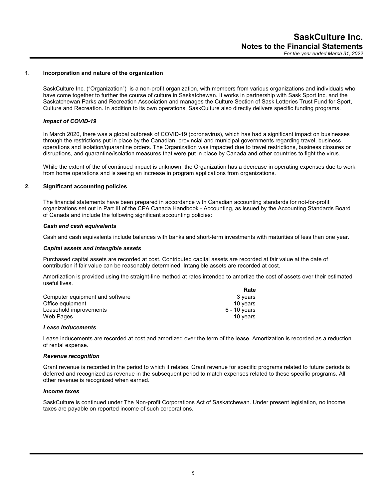#### **1. Incorporation and nature of the organization**

SaskCulture Inc. ("Organization") is a non-profit organization, with members from various organizations and individuals who have come together to further the course of culture in Saskatchewan. It works in partnership with Sask Sport Inc. and the Saskatchewan Parks and Recreation Association and manages the Culture Section of Sask Lotteries Trust Fund for Sport, Culture and Recreation. In addition to its own operations, SaskCulture also directly delivers specific funding programs.

#### *Impact of COVID-19*

In March 2020, there was a global outbreak of COVID-19 (coronavirus), which has had a significant impact on businesses through the restrictions put in place by the Canadian, provincial and municipal governments regarding travel, business operations and isolation/quarantine orders. The Organization was impacted due to travel restrictions, business closures or disruptions, and quarantine/isolation measures that were put in place by Canada and other countries to fight the virus.

While the extent of the of continued impact is unknown, the Organization has a decrease in operating expenses due to work from home operations and is seeing an increase in program applications from organizations.

# **2. Significant accounting policies**

The financial statements have been prepared in accordance with Canadian accounting standards for not-for-profit organizations set out in Part III of the CPA Canada Handbook - Accounting, as issued by the Accounting Standards Board of Canada and include the following significant accounting policies:

#### *Cash and cash equivalents*

Cash and cash equivalents include balances with banks and short-term investments with maturities of less than one year.

#### *Capital assets and intangible assets*

Purchased capital assets are recorded at cost. Contributed capital assets are recorded at fair value at the date of contribution if fair value can be reasonably determined. Intangible assets are recorded at cost.

Amortization is provided using the straight-line method at rates intended to amortize the cost of assets over their estimated useful lives. **Rate**

|                                 | Rate           |
|---------------------------------|----------------|
| Computer equipment and software | 3 vears        |
| Office equipment                | 10 years       |
| Leasehold improvements          | $6 - 10$ years |
| Web Pages                       | 10 vears       |

#### *Lease inducements*

Lease inducements are recorded at cost and amortized over the term of the lease. Amortization is recorded as a reduction of rental expense.

#### *Revenue recognition*

Grant revenue is recorded in the period to which it relates. Grant revenue for specific programs related to future periods is deferred and recognized as revenue in the subsequent period to match expenses related to these specific programs. All other revenue is recognized when earned.

#### *Income taxes*

SaskCulture is continued under The Non-profit Corporations Act of Saskatchewan. Under present legislation, no income taxes are payable on reported income of such corporations.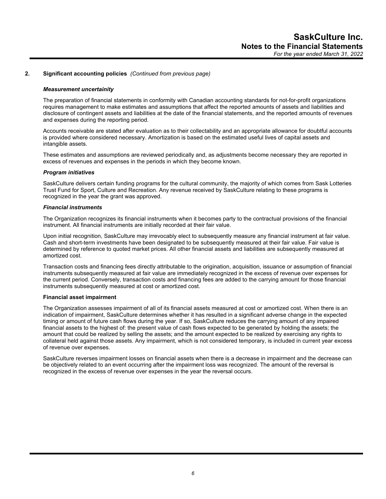# **2. Significant accounting policies** *(Continued from previous page)*

#### *Measurement uncertainity*

The preparation of financial statements in conformity with Canadian accounting standards for not-for-profit organizations requires management to make estimates and assumptions that affect the reported amounts of assets and liabilities and disclosure of contingent assets and liabilities at the date of the financial statements, and the reported amounts of revenues and expenses during the reporting period.

Accounts receivable are stated after evaluation as to their collectability and an appropriate allowance for doubtful accounts is provided where considered necessary. Amortization is based on the estimated useful lives of capital assets and intangible assets.

These estimates and assumptions are reviewed periodically and, as adjustments become necessary they are reported in excess of revenues and expenses in the periods in which they become known.

#### *Program initiatives*

SaskCulture delivers certain funding programs for the cultural community, the majority of which comes from Sask Lotteries Trust Fund for Sport, Culture and Recreation. Any revenue received by SaskCulture relating to these programs is recognized in the year the grant was approved.

#### *Financial instruments*

The Organization recognizes its financial instruments when it becomes party to the contractual provisions of the financial instrument. All financial instruments are initially recorded at their fair value.

Upon initial recognition, SaskCulture may irrevocably elect to subsequently measure any financial instrument at fair value. Cash and short-term investments have been designated to be subsequently measured at their fair value. Fair value is determined by reference to quoted market prices. All other financial assets and liabilities are subsequently measured at amortized cost.

Transaction costs and financing fees directly attributable to the origination, acquisition, issuance or assumption of financial instruments subsequently measured at fair value are immediately recognized in the excess of revenue over expenses for the current period. Conversely, transaction costs and financing fees are added to the carrying amount for those financial instruments subsequently measured at cost or amortized cost.

#### **Financial asset impairment**

The Organization assesses impairment of all of its financial assets measured at cost or amortized cost. When there is an indication of impairment, SaskCulture determines whether it has resulted in a significant adverse change in the expected timing or amount of future cash flows during the year. If so, SaskCulture reduces the carrying amount of any impaired financial assets to the highest of: the present value of cash flows expected to be generated by holding the assets; the amount that could be realized by selling the assets; and the amount expected to be realized by exercising any rights to collateral held against those assets. Any impairment, which is not considered temporary, is included in current year excess of revenue over expenses.

SaskCulture reverses impairment losses on financial assets when there is a decrease in impairment and the decrease can be objectively related to an event occurring after the impairment loss was recognized. The amount of the reversal is recognized in the excess of revenue over expenses in the year the reversal occurs.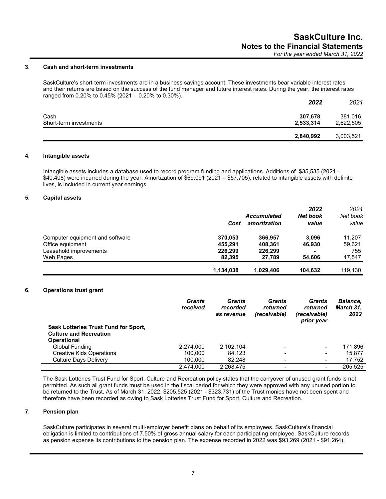#### **3. Cash and short-term investments**

SaskCulture's short-term investments are in a business savings account. These investments bear variable interest rates and their returns are based on the success of the fund manager and future interest rates. During the year, the interest rates ranged from 0.20% to 0.45% (2021 - 0.20% to 0.30%).

|                        | 2022      | 2021      |
|------------------------|-----------|-----------|
| Cash                   | 307,678   | 381,016   |
| Short-term investments | 2,533,314 | 2,622,505 |
|                        | 2,840,992 | 3,003,521 |

#### **4. Intangible assets**

Intangible assets includes a database used to record program funding and applications. Additions of \$35,535 (2021 - \$40,408) were incurred during the year. Amortization of \$69,091 (2021 – \$57,705), related to intangible assets with definite lives, is included in current year earnings.

#### **5. Capital assets**

|                                 | Cost      | <b>Accumulated</b><br>amortization | 2022<br><b>Net book</b><br>value | 2021<br>Net book<br>value |
|---------------------------------|-----------|------------------------------------|----------------------------------|---------------------------|
| Computer equipment and software | 370.053   | 366.957                            | 3.096                            | 11.207                    |
| Office equipment                | 455.291   | 408.361                            | 46.930                           | 59,621                    |
| Leasehold improvements          | 226.299   | 226,299                            | -                                | 755                       |
| Web Pages                       | 82.395    | 27.789                             | 54.606                           | 47,547                    |
|                                 | 1,134,038 | 1.029.406                          | 104.632                          | 119.130                   |

#### **6. Operations trust grant**

|                                                                                                    | Grants<br>received | Grants<br>recorded<br>as revenue | <b>Grants</b><br>returned<br>(receivable) | <b>Grants</b><br>returned<br>(receivable)<br>prior year | Balance,<br>March 31,<br>2022 |
|----------------------------------------------------------------------------------------------------|--------------------|----------------------------------|-------------------------------------------|---------------------------------------------------------|-------------------------------|
| <b>Sask Lotteries Trust Fund for Sport.</b><br><b>Culture and Recreation</b><br><b>Operational</b> |                    |                                  |                                           |                                                         |                               |
| Global Funding                                                                                     | 2,274,000          | 2.102.104                        | $\blacksquare$                            | $\overline{\phantom{a}}$                                | 171,896                       |
| <b>Creative Kids Operations</b>                                                                    | 100.000            | 84.123                           | $\overline{\phantom{0}}$                  | $\overline{\phantom{a}}$                                | 15.877                        |
| <b>Culture Days Delivery</b>                                                                       | 100,000            | 82,248                           | $\overline{\phantom{a}}$                  |                                                         | 17,752                        |
|                                                                                                    | 2,474,000          | 2.268.475                        |                                           |                                                         | 205.525                       |

The Sask Lotteries Trust Fund for Sport, Culture and Recreation policy states that the carryover of unused grant funds is not permitted. As such all grant funds must be used in the fiscal period for which they were approved with any unused portion to be returned to the Trust. As of March 31, 2022, \$205,525 (2021 - \$323,731) of the Trust monies have not been spent and therefore have been recorded as owing to Sask Lotteries Trust Fund for Sport, Culture and Recreation.

#### **7. Pension plan**

SaskCulture participates in several multi-employer benefit plans on behalf of its employees. SaskCulture's financial obligation is limited to contributions of 7.50% of gross annual salary for each participating employee. SaskCulture records as pension expense its contributions to the pension plan. The expense recorded in 2022 was \$93,269 (2021 - \$91,264).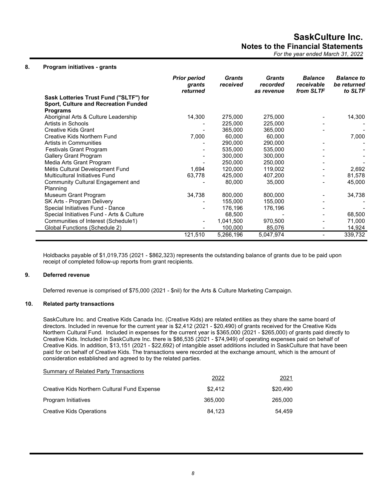## **8. Program initiatives - grants**

|                                           | <b>Prior period</b><br>grants<br>returned | Grants<br>received | Grants<br>recorded<br>as revenue | <b>Balance</b><br>receivable<br>from SLTF | <b>Balance to</b><br>be returned<br>to SLTF |
|-------------------------------------------|-------------------------------------------|--------------------|----------------------------------|-------------------------------------------|---------------------------------------------|
| Sask Lotteries Trust Fund ("SLTF") for    |                                           |                    |                                  |                                           |                                             |
| Sport, Culture and Recreation Funded      |                                           |                    |                                  |                                           |                                             |
| <b>Programs</b>                           |                                           |                    |                                  |                                           |                                             |
| Aboriginal Arts & Culture Leadership      | 14,300                                    | 275,000            | 275,000                          |                                           | 14,300                                      |
| Artists in Schools                        |                                           | 225,000            | 225,000                          |                                           |                                             |
| <b>Creative Kids Grant</b>                |                                           | 365,000            | 365,000                          |                                           |                                             |
| Creative Kids Northern Fund               | 7,000                                     | 60,000             | 60,000                           |                                           | 7,000                                       |
| <b>Artists in Communities</b>             |                                           | 290,000            | 290,000                          |                                           |                                             |
| <b>Festivals Grant Program</b>            |                                           | 535,000            | 535,000                          |                                           |                                             |
| <b>Gallery Grant Program</b>              |                                           | 300,000            | 300,000                          |                                           |                                             |
| Media Arts Grant Program                  |                                           | 250,000            | 250,000                          |                                           |                                             |
| Métis Cultural Development Fund           | 1,694                                     | 120,000            | 119,002                          |                                           | 2,692                                       |
| <b>Multicultural Initiatives Fund</b>     | 63,778                                    | 425,000            | 407,200                          |                                           | 81,578                                      |
| <b>Community Cultural Engagement and</b>  |                                           | 80,000             | 35,000                           |                                           | 45,000                                      |
| Planning                                  |                                           |                    |                                  |                                           |                                             |
| Museum Grant Program                      | 34,738                                    | 800,000            | 800,000                          |                                           | 34,738                                      |
| SK Arts - Program Delivery                |                                           | 155,000            | 155,000                          |                                           |                                             |
| Special Initiatives Fund - Dance          |                                           | 176,196            | 176,196                          |                                           |                                             |
| Special Initiatives Fund - Arts & Culture |                                           | 68,500             |                                  |                                           | 68,500                                      |
| Communities of Interest (Schedule1)       |                                           | 1,041,500          | 970,500                          |                                           | 71,000                                      |
| Global Functions (Schedule 2)             |                                           | 100,000            | 85,076                           |                                           | 14,924                                      |
|                                           | 121,510                                   | 5,266,196          | 5,047,974                        |                                           | 339,732                                     |

Holdbacks payable of \$1,019,735 (2021 - \$862,323) represents the outstanding balance of grants due to be paid upon receipt of completed follow-up reports from grant recipients.

# **9. Deferred revenue**

Deferred revenue is comprised of \$75,000 (2021 - \$nil) for the Arts & Culture Marketing Campaign.

## **10. Related party transactions**

SaskCulture Inc. and Creative Kids Canada Inc. (Creative Kids) are related entities as they share the same board of directors. Included in revenue for the current year is \$2,412 (2021 - \$20,490) of grants received for the Creative Kids Northern Cultural Fund. Included in expenses for the current year is \$365,000 (2021 - \$265,000) of grants paid directly to Creative Kids. Included in SaskCulture Inc. there is \$86,535 (2021 - \$74,949) of operating expenses paid on behalf of Creative Kids. In addition, \$13,151 (2021 - \$22,692) of intangible asset additions included in SaskCulture that have been paid for on behalf of Creative Kids. The transactions were recorded at the exchange amount, which is the amount of consideration established and agreed to by the related parties.

| <b>Summary of Related Party Transactions</b> | 2022    | 2021     |
|----------------------------------------------|---------|----------|
| Creative Kids Northern Cultural Fund Expense | \$2.412 | \$20,490 |
| Program Initiatives                          | 365,000 | 265,000  |
| Creative Kids Operations                     | 84.123  | 54.459   |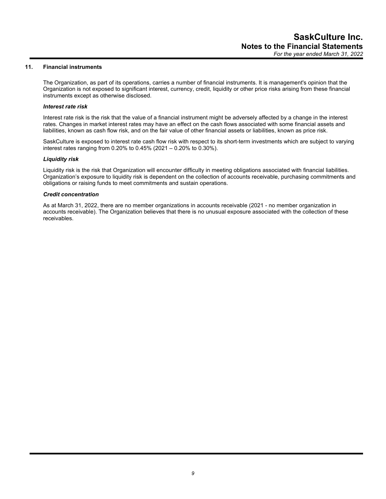### **11. Financial instruments**

The Organization, as part of its operations, carries a number of financial instruments. It is management's opinion that the Organization is not exposed to significant interest, currency, credit, liquidity or other price risks arising from these financial instruments except as otherwise disclosed.

#### *Interest rate risk*

Interest rate risk is the risk that the value of a financial instrument might be adversely affected by a change in the interest rates. Changes in market interest rates may have an effect on the cash flows associated with some financial assets and liabilities, known as cash flow risk, and on the fair value of other financial assets or liabilities, known as price risk.

SaskCulture is exposed to interest rate cash flow risk with respect to its short-term investments which are subject to varying interest rates ranging from 0.20% to 0.45% (2021 – 0.20% to 0.30%).

#### *Liquidity risk*

Liquidity risk is the risk that Organization will encounter difficulty in meeting obligations associated with financial liabilities. Organization's exposure to liquidity risk is dependent on the collection of accounts receivable, purchasing commitments and obligations or raising funds to meet commitments and sustain operations.

# *Credit concentration*

As at March 31, 2022, there are no member organizations in accounts receivable (2021 - no member organization in accounts receivable). The Organization believes that there is no unusual exposure associated with the collection of these receivables.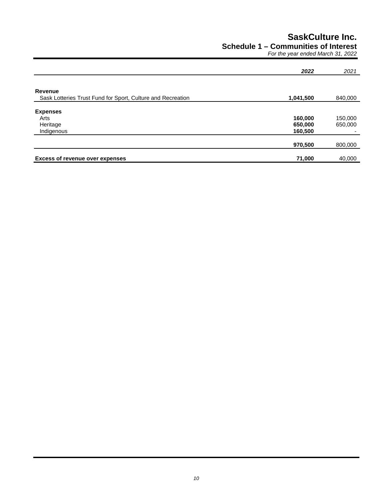# **SaskCulture Inc. Schedule 1 – Communities of Interest**

*For the year ended March 31, 2022* 

|                                                             | 2022      | 2021    |
|-------------------------------------------------------------|-----------|---------|
|                                                             |           |         |
| Revenue                                                     |           |         |
| Sask Lotteries Trust Fund for Sport, Culture and Recreation | 1,041,500 | 840,000 |
| <b>Expenses</b>                                             |           |         |
| Arts                                                        | 160,000   | 150,000 |
| Heritage                                                    | 650,000   | 650,000 |
| Indigenous                                                  | 160,500   |         |
|                                                             | 970,500   | 800,000 |
|                                                             |           |         |
| <b>Excess of revenue over expenses</b>                      | 71,000    | 40.000  |